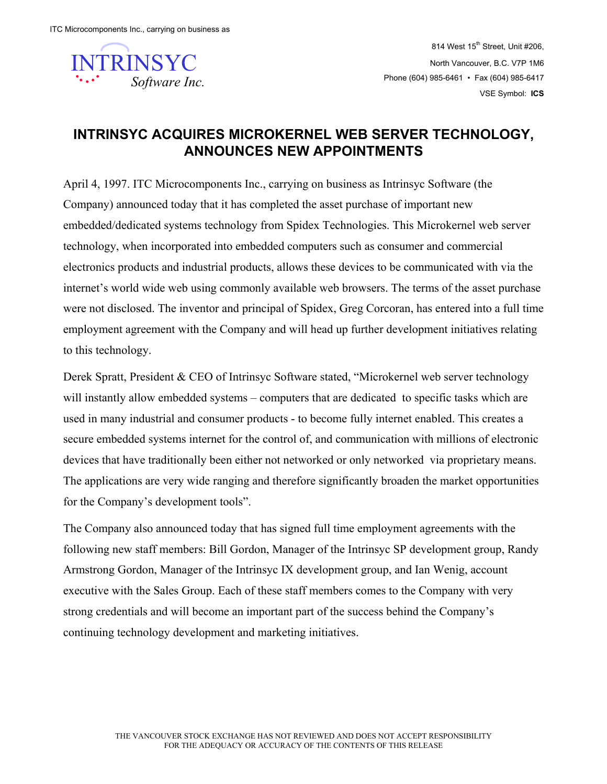

814 West  $15<sup>th</sup>$  Street, Unit #206, North Vancouver, B.C. V7P 1M6 Phone (604) 985-6461 • Fax (604) 985-6417 VSE Symbol: **ICS**

## **INTRINSYC ACQUIRES MICROKERNEL WEB SERVER TECHNOLOGY, ANNOUNCES NEW APPOINTMENTS**

April 4, 1997. ITC Microcomponents Inc., carrying on business as Intrinsyc Software (the Company) announced today that it has completed the asset purchase of important new embedded/dedicated systems technology from Spidex Technologies. This Microkernel web server technology, when incorporated into embedded computers such as consumer and commercial electronics products and industrial products, allows these devices to be communicated with via the internet's world wide web using commonly available web browsers. The terms of the asset purchase were not disclosed. The inventor and principal of Spidex, Greg Corcoran, has entered into a full time employment agreement with the Company and will head up further development initiatives relating to this technology.

Derek Spratt, President & CEO of Intrinsyc Software stated, "Microkernel web server technology will instantly allow embedded systems – computers that are dedicated to specific tasks which are used in many industrial and consumer products - to become fully internet enabled. This creates a secure embedded systems internet for the control of, and communication with millions of electronic devices that have traditionally been either not networked or only networked via proprietary means. The applications are very wide ranging and therefore significantly broaden the market opportunities for the Company's development tools".

The Company also announced today that has signed full time employment agreements with the following new staff members: Bill Gordon, Manager of the Intrinsyc SP development group, Randy Armstrong Gordon, Manager of the Intrinsyc IX development group, and Ian Wenig, account executive with the Sales Group. Each of these staff members comes to the Company with very strong credentials and will become an important part of the success behind the Company's continuing technology development and marketing initiatives.